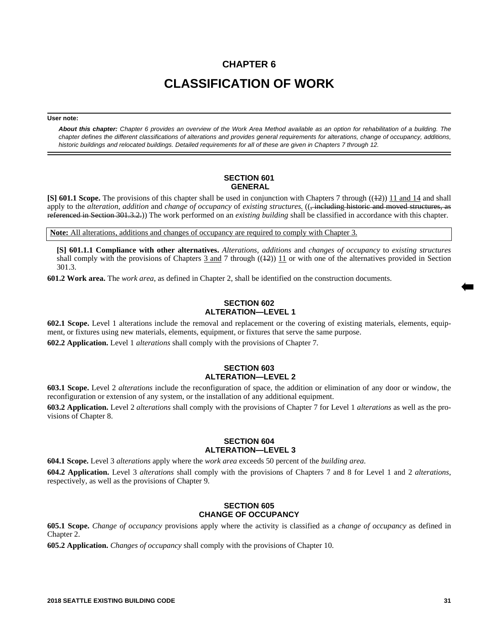# **CHAPTER 6 CLASSIFICATION OF WORK**

#### **User note:**

*About this chapter: Chapter 6 provides an overview of the Work Area Method available as an option for rehabilitation of a building. The chapter defines the different classifications of alterations and provides general requirements for alterations, change of occupancy, additions, historic buildings and relocated buildings. Detailed requirements for all of these are given in Chapters 7 through 12.*

#### **SECTION 601 GENERAL**

**[S] 601.1 Scope.** The provisions of this chapter shall be used in conjunction with Chapters 7 through ((42)) 11 and 14 and shall apply to the *alteration*, *addition* and *change of occupancy* of *existing structures.* ((, including historic and moved structures, as referenced in Section 301.3.2.)) The work performed on an *existing building* shall be classified in accordance with this chapter.

**Note:** All alterations, additions and changes of occupancy are required to comply with Chapter 3.

**[S] 601.1.1 Compliance with other alternatives.** *Alterations*, *additions* and *changes of occupancy* to *existing structures* shall comply with the provisions of Chapters  $\frac{3}{3}$  and  $\frac{7}{2}$  through  $(\frac{12}{2})$  11 or with one of the alternatives provided in Section 301.3.

**601.2 Work area.** The *work area*, as defined in Chapter 2, shall be identified on the construction documents.

# **SECTION 602 ALTERATION—LEVEL 1**

**602.1 Scope.** Level 1 alterations include the removal and replacement or the covering of existing materials, elements, equipment, or fixtures using new materials, elements, equipment, or fixtures that serve the same purpose.

**602.2 Application.** Level 1 *alterations* shall comply with the provisions of Chapter 7.

### **SECTION 603 ALTERATION—LEVEL 2**

**603.1 Scope.** Level 2 *alterations* include the reconfiguration of space, the addition or elimination of any door or window, the reconfiguration or extension of any system, or the installation of any additional equipment.

**603.2 Application.** Level 2 *alterations* shall comply with the provisions of Chapter 7 for Level 1 *alterations* as well as the provisions of Chapter 8.

### **SECTION 604 ALTERATION—LEVEL 3**

**604.1 Scope.** Level 3 *alterations* apply where the *work area* exceeds 50 percent of the *building area*. **604.2 Application.** Level 3 *alterations* shall comply with the provisions of Chapters 7 and 8 for Level 1 and 2 *alterations*, respectively, as well as the provisions of Chapter 9.

### **SECTION 605 CHANGE OF OCCUPANCY**

**605.1 Scope.** *Change of occupancy* provisions apply where the activity is classified as a *change of occupancy* as defined in Chapter 2.

**605.2 Application.** *Changes of occupancy* shall comply with the provisions of Chapter 10.